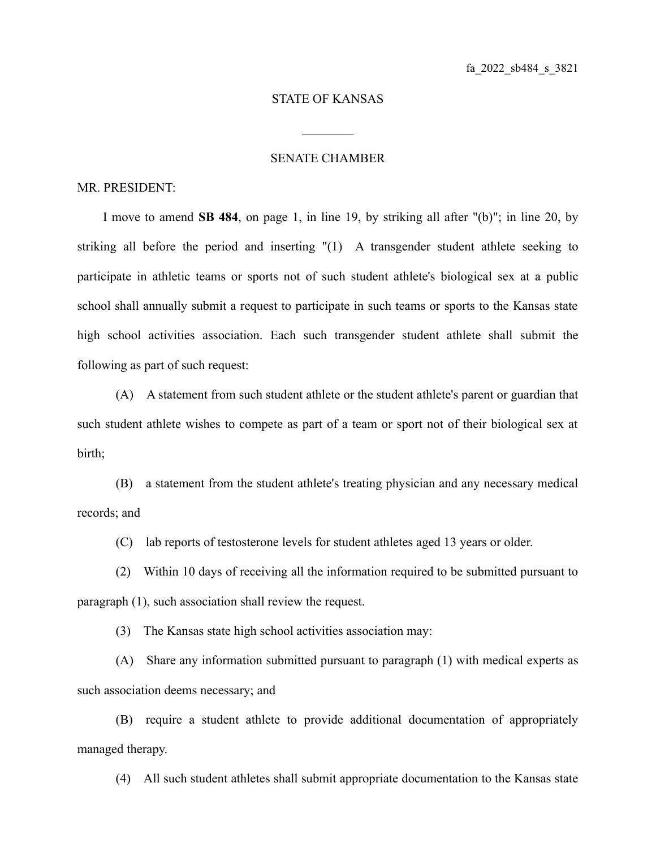## STATE OF KANSAS

 $\mathcal{L}_\text{max}$ 

## SENATE CHAMBER

## MR. PRESIDENT:

I move to amend **SB 484**, on page 1, in line 19, by striking all after "(b)"; in line 20, by striking all before the period and inserting "(1) A transgender student athlete seeking to participate in athletic teams or sports not of such student athlete's biological sex at a public school shall annually submit a request to participate in such teams or sports to the Kansas state high school activities association. Each such transgender student athlete shall submit the following as part of such request:

(A) A statement from such student athlete or the student athlete's parent or guardian that such student athlete wishes to compete as part of a team or sport not of their biological sex at birth;

(B) a statement from the student athlete's treating physician and any necessary medical records; and

(C) lab reports of testosterone levels for student athletes aged 13 years or older.

(2) Within 10 days of receiving all the information required to be submitted pursuant to paragraph (1), such association shall review the request.

(3) The Kansas state high school activities association may:

(A) Share any information submitted pursuant to paragraph (1) with medical experts as such association deems necessary; and

(B) require a student athlete to provide additional documentation of appropriately managed therapy.

(4) All such student athletes shall submit appropriate documentation to the Kansas state